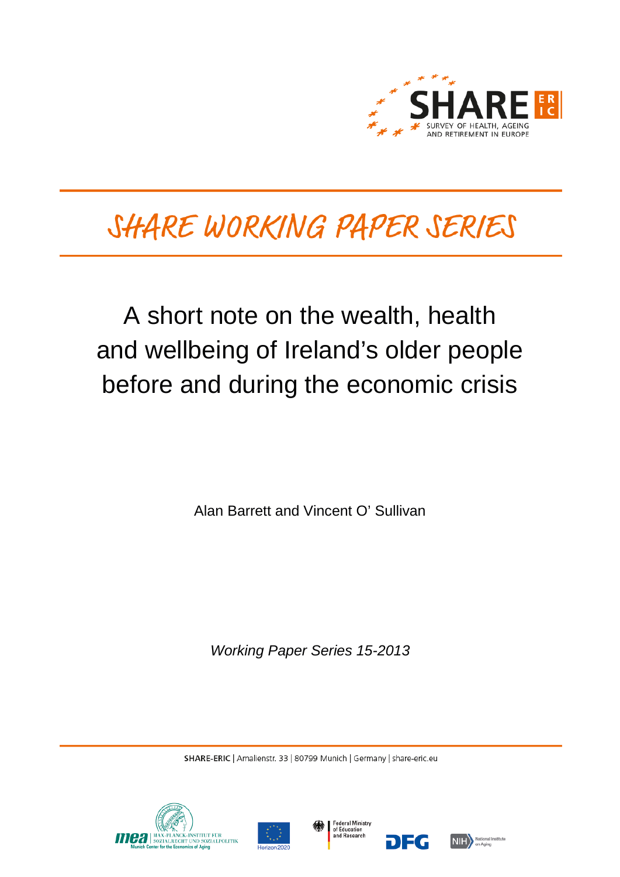

# SHARE WORKING PAPER SERIES

# A short note on the wealth, health and wellbeing of Ireland's older people before and during the economic crisis

Alan Barrett and Vincent O' Sullivan

*Working Paper Series 15-2013*

SHARE-ERIC | Amalienstr. 33 | 80799 Munich | Germany | share-eric.eu







7EG

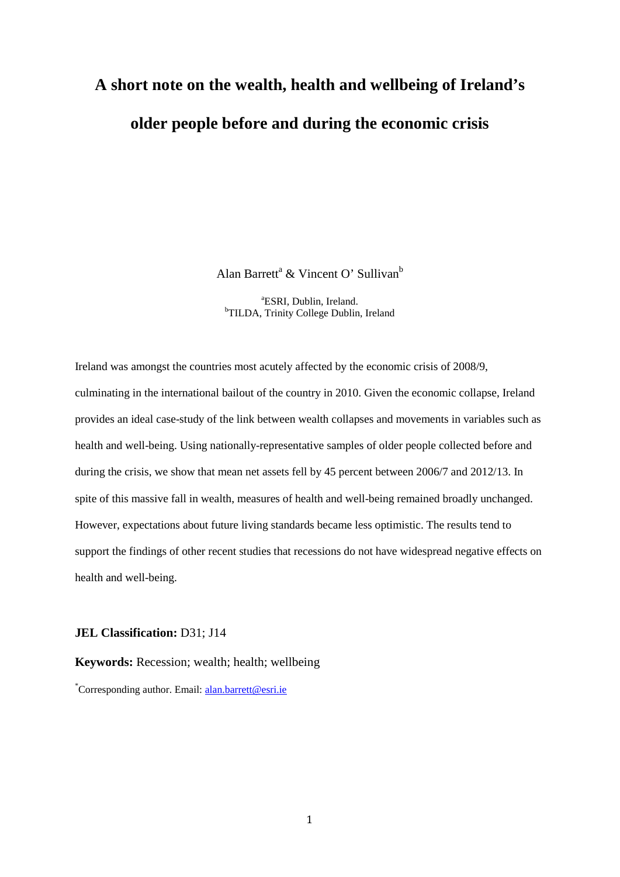# **A short note on the wealth, health and wellbeing of Ireland's older people before and during the economic crisis**

Alan Barrett<sup>a</sup> & Vincent O' Sullivan<sup>b</sup>

<sup>a</sup>ESRI, Dublin, Ireland. <sup>a</sup>ESRI, Dublin, Ireland.<br><sup>b</sup>TILDA, Trinity College Dublin, Ireland<sup>b</sup>

Ireland was amongst the countries most acutely affected by the economic crisis of 2008/9, culminating in the international bailout of the country in 2010. Given the economic collapse, Ireland provides an ideal case-study of the link between wealth collapses and movements in variables such as health and well-being. Using nationally-representative samples of older people collected before and during the crisis, we show that mean net assets fell by 45 percent between 2006/7 and 2012/13. In spite of this massive fall in wealth, measures of health and well-being remained broadly unchanged. However, expectations about future living standards became less optimistic. The results tend to support the findings of other recent studies that recessions do not have widespread negative effects on health and well-being.

#### **JEL Classification:** D31; J14

**Keywords:** Recession; wealth; health; wellbeing

\*Corresponding author. Email: [alan.barrett@esri.ie](mailto:alan.barrett@esri.ie)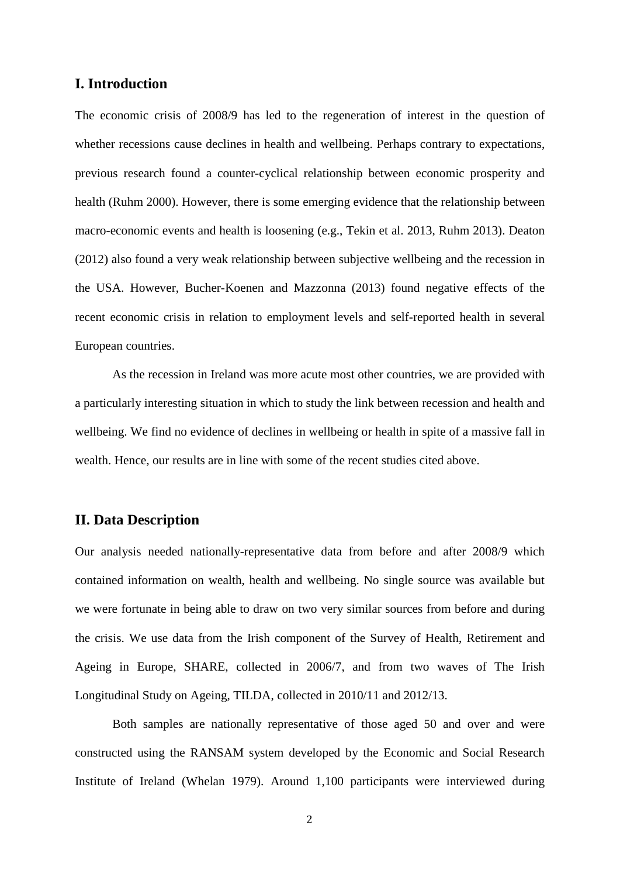### **I. Introduction**

The economic crisis of 2008/9 has led to the regeneration of interest in the question of whether recessions cause declines in health and wellbeing. Perhaps contrary to expectations, previous research found a counter-cyclical relationship between economic prosperity and health (Ruhm 2000). However, there is some emerging evidence that the relationship between macro-economic events and health is loosening (e.g., Tekin et al. 2013, Ruhm 2013). Deaton (2012) also found a very weak relationship between subjective wellbeing and the recession in the USA. However, Bucher-Koenen and Mazzonna (2013) found negative effects of the recent economic crisis in relation to employment levels and self-reported health in several European countries.

As the recession in Ireland was more acute most other countries, we are provided with a particularly interesting situation in which to study the link between recession and health and wellbeing. We find no evidence of declines in wellbeing or health in spite of a massive fall in wealth. Hence, our results are in line with some of the recent studies cited above.

#### **II. Data Description**

Our analysis needed nationally-representative data from before and after 2008/9 which contained information on wealth, health and wellbeing. No single source was available but we were fortunate in being able to draw on two very similar sources from before and during the crisis. We use data from the Irish component of the Survey of Health, Retirement and Ageing in Europe, SHARE, collected in 2006/7, and from two waves of The Irish Longitudinal Study on Ageing, TILDA, collected in 2010/11 and 2012/13.

Both samples are nationally representative of those aged 50 and over and were constructed using the RANSAM system developed by the Economic and Social Research Institute of Ireland (Whelan 1979). Around 1,100 participants were interviewed during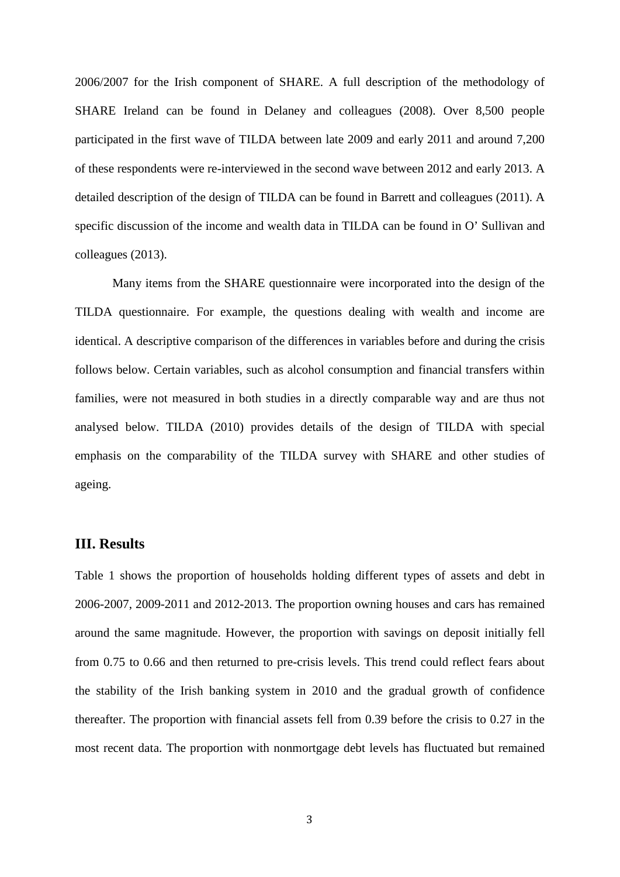2006/2007 for the Irish component of SHARE. A full description of the methodology of SHARE Ireland can be found in Delaney and colleagues (2008). Over 8,500 people participated in the first wave of TILDA between late 2009 and early 2011 and around 7,200 of these respondents were re-interviewed in the second wave between 2012 and early 2013. A detailed description of the design of TILDA can be found in Barrett and colleagues (2011). A specific discussion of the income and wealth data in TILDA can be found in O' Sullivan and colleagues (2013).

Many items from the SHARE questionnaire were incorporated into the design of the TILDA questionnaire. For example, the questions dealing with wealth and income are identical. A descriptive comparison of the differences in variables before and during the crisis follows below. Certain variables, such as alcohol consumption and financial transfers within families, were not measured in both studies in a directly comparable way and are thus not analysed below. TILDA (2010) provides details of the design of TILDA with special emphasis on the comparability of the TILDA survey with SHARE and other studies of ageing.

### **III. Results**

Table 1 shows the proportion of households holding different types of assets and debt in 2006-2007, 2009-2011 and 2012-2013. The proportion owning houses and cars has remained around the same magnitude. However, the proportion with savings on deposit initially fell from 0.75 to 0.66 and then returned to pre-crisis levels. This trend could reflect fears about the stability of the Irish banking system in 2010 and the gradual growth of confidence thereafter. The proportion with financial assets fell from 0.39 before the crisis to 0.27 in the most recent data. The proportion with nonmortgage debt levels has fluctuated but remained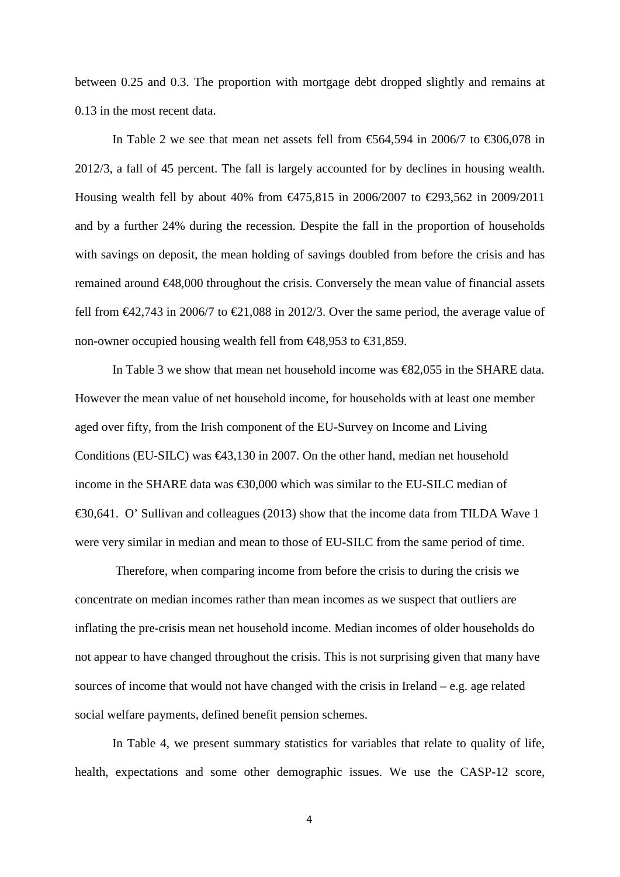between 0.25 and 0.3. The proportion with mortgage debt dropped slightly and remains at 0.13 in the most recent data.

In Table 2 we see that mean net assets fell from  $\mathfrak{E}64,594$  in 2006/7 to  $\mathfrak{E}306,078$  in 2012/3, a fall of 45 percent. The fall is largely accounted for by declines in housing wealth. Housing wealth fell by about 40% from €475,815 in 2006/2007 to €293,562 in 2009/2011 and by a further 24% during the recession. Despite the fall in the proportion of households with savings on deposit, the mean holding of savings doubled from before the crisis and has remained around €48,000 throughout the crisis. Conversely the mean value of financial assets fell from  $\epsilon 42,743$  in 2006/7 to  $\epsilon 21,088$  in 2012/3. Over the same period, the average value of non-owner occupied housing wealth fell from  $\Theta$ 8,953 to  $\Theta$ 1,859.

In Table 3 we show that mean net household income was €82,055 in the SHARE data. However the mean value of net household income, for households with at least one member aged over fifty, from the Irish component of the EU-Survey on Income and Living Conditions (EU-SILC) was  $\bigoplus$  3,130 in 2007. On the other hand, median net household income in the SHARE data was €30,000 which was similar to the EU-SILC median of €30,641. O' Sullivan and colleagues (2013) show that the income data from TILDA Wave 1 were very similar in median and mean to those of EU-SILC from the same period of time.

Therefore, when comparing income from before the crisis to during the crisis we concentrate on median incomes rather than mean incomes as we suspect that outliers are inflating the pre-crisis mean net household income. Median incomes of older households do not appear to have changed throughout the crisis. This is not surprising given that many have sources of income that would not have changed with the crisis in Ireland – e.g. age related social welfare payments, defined benefit pension schemes.

In Table 4, we present summary statistics for variables that relate to quality of life, health, expectations and some other demographic issues. We use the CASP-12 score,

4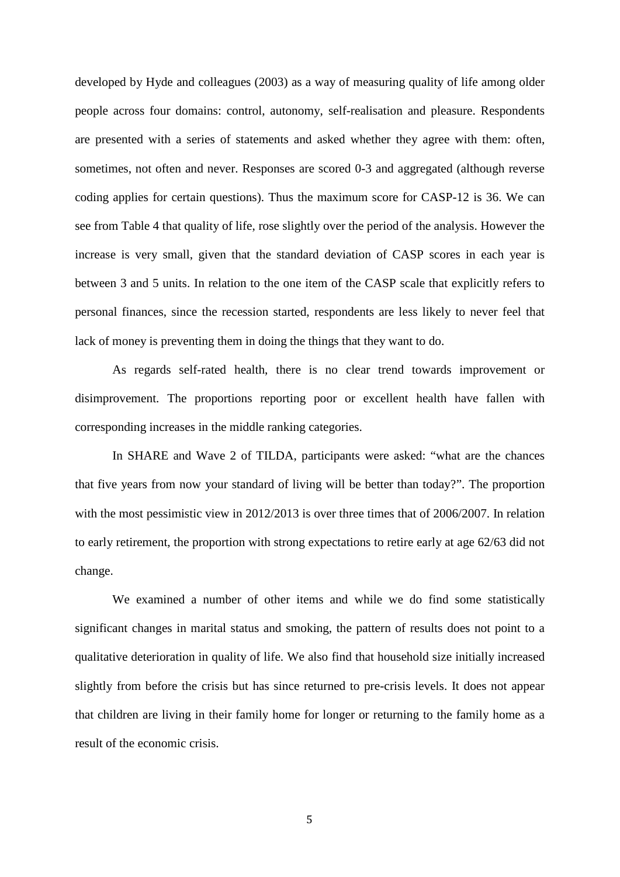developed by Hyde and colleagues (2003) as a way of measuring quality of life among older people across four domains: control, autonomy, self-realisation and pleasure. Respondents are presented with a series of statements and asked whether they agree with them: often, sometimes, not often and never. Responses are scored 0-3 and aggregated (although reverse coding applies for certain questions). Thus the maximum score for CASP-12 is 36. We can see from Table 4 that quality of life, rose slightly over the period of the analysis. However the increase is very small, given that the standard deviation of CASP scores in each year is between 3 and 5 units. In relation to the one item of the CASP scale that explicitly refers to personal finances, since the recession started, respondents are less likely to never feel that lack of money is preventing them in doing the things that they want to do.

As regards self-rated health, there is no clear trend towards improvement or disimprovement. The proportions reporting poor or excellent health have fallen with corresponding increases in the middle ranking categories.

In SHARE and Wave 2 of TILDA, participants were asked: "what are the chances that five years from now your standard of living will be better than today?". The proportion with the most pessimistic view in 2012/2013 is over three times that of 2006/2007. In relation to early retirement, the proportion with strong expectations to retire early at age 62/63 did not change.

We examined a number of other items and while we do find some statistically significant changes in marital status and smoking, the pattern of results does not point to a qualitative deterioration in quality of life. We also find that household size initially increased slightly from before the crisis but has since returned to pre-crisis levels. It does not appear that children are living in their family home for longer or returning to the family home as a result of the economic crisis.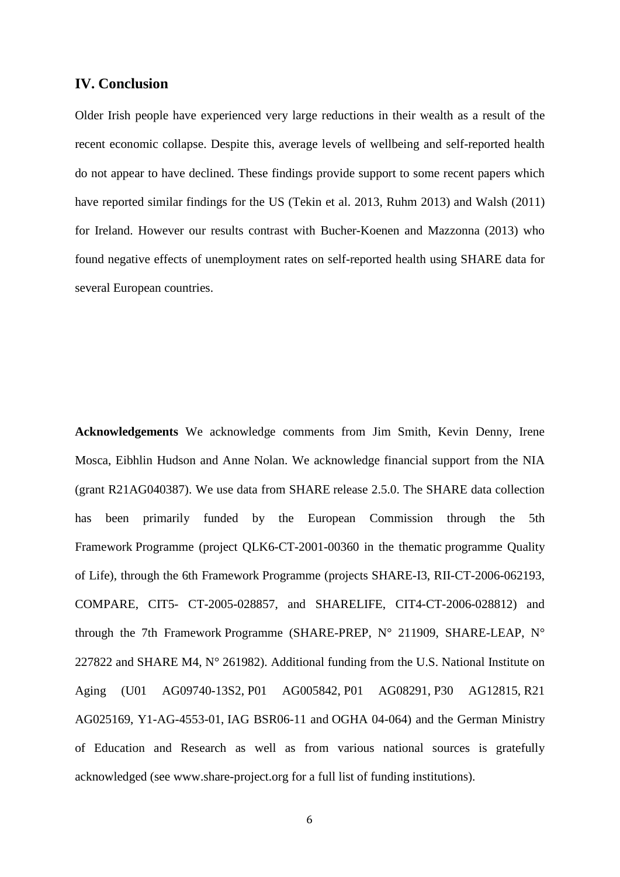#### **IV. Conclusion**

Older Irish people have experienced very large reductions in their wealth as a result of the recent economic collapse. Despite this, average levels of wellbeing and self-reported health do not appear to have declined. These findings provide support to some recent papers which have reported similar findings for the US (Tekin et al. 2013, Ruhm 2013) and Walsh (2011) for Ireland. However our results contrast with Bucher-Koenen and Mazzonna (2013) who found negative effects of unemployment rates on self-reported health using SHARE data for several European countries.

**Acknowledgements** We acknowledge comments from Jim Smith, Kevin Denny, Irene Mosca, Eibhlin Hudson and Anne Nolan. We acknowledge financial support from the NIA (grant R21AG040387). We use data from SHARE release 2.5.0. The SHARE data collection has been primarily funded by the European Commission through the 5th Framework Programme (project QLK6-CT-2001-00360 in the thematic programme Quality of Life), through the 6th Framework Programme (projects SHARE-I3, RII-CT-2006-062193, COMPARE, CIT5- CT-2005-028857, and SHARELIFE, CIT4-CT-2006-028812) and through the 7th Framework Programme (SHARE-PREP, N° 211909, SHARE-LEAP, N° 227822 and SHARE M4,  $N^{\circ}$  261982). Additional funding from the U.S. National Institute on Aging (U01 AG09740-13S2, P01 AG005842, P01 AG08291, P30 AG12815, R21 AG025169, Y1-AG-4553-01, IAG BSR06-11 and OGHA 04-064) and the German Ministry of Education and Research as well as from various national sources is gratefully acknowledged (see www.share-project.org for a full list of funding institutions).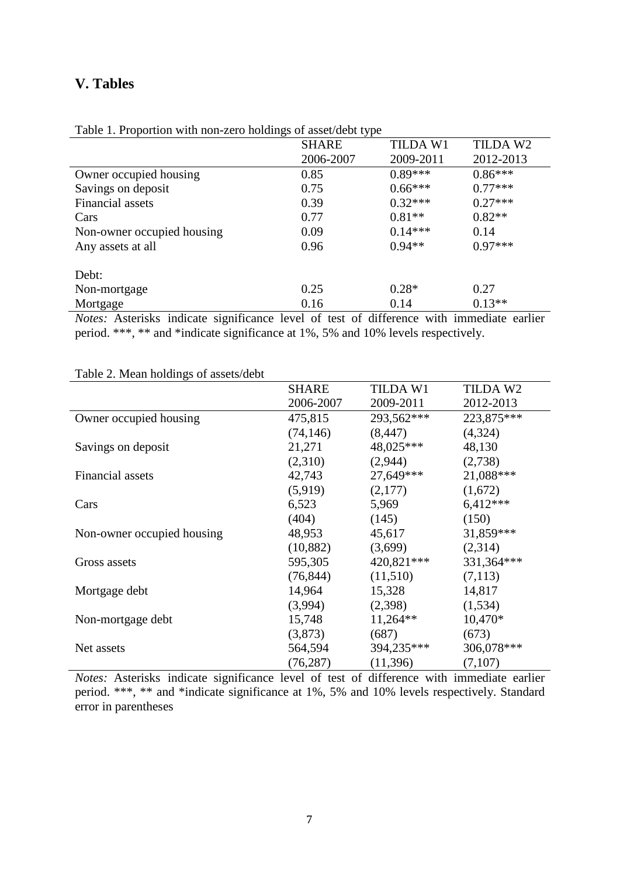## **V. Tables**

|                            | <b>SHARE</b> | <b>TILDA W1</b> | TILDA W2  |
|----------------------------|--------------|-----------------|-----------|
|                            | 2006-2007    | 2009-2011       | 2012-2013 |
| Owner occupied housing     | 0.85         | $0.89***$       | $0.86***$ |
| Savings on deposit         | 0.75         | $0.66***$       | $0.77***$ |
| Financial assets           | 0.39         | $0.32***$       | $0.27***$ |
| Cars                       | 0.77         | $0.81**$        | $0.82**$  |
| Non-owner occupied housing | 0.09         | $0.14***$       | 0.14      |
| Any assets at all          | 0.96         | $0.94**$        | $0.97***$ |
| Debt:                      |              |                 |           |
| Non-mortgage               | 0.25         | $0.28*$         | 0.27      |
| Mortgage                   | 0.16         | 0.14            | $0.13**$  |

Table 1. Proportion with non-zero holdings of asset/debt type

*Notes:* Asterisks indicate significance level of test of difference with immediate earlier period. \*\*\*, \*\* and \*indicate significance at 1%, 5% and 10% levels respectively.

|                            | <b>SHARE</b> | <b>TILDA W1</b> | TILDA W2   |
|----------------------------|--------------|-----------------|------------|
|                            | 2006-2007    | 2009-2011       | 2012-2013  |
| Owner occupied housing     | 475,815      | 293,562***      | 223,875*** |
|                            | (74, 146)    | (8, 447)        | (4,324)    |
| Savings on deposit         | 21,271       | 48,025***       | 48,130     |
|                            | (2,310)      | (2,944)         | (2,738)    |
| Financial assets           | 42,743       | 27,649***       | 21,088***  |
|                            | (5,919)      | (2,177)         | (1,672)    |
| Cars                       | 6,523        | 5,969           | $6,412***$ |
|                            | (404)        | (145)           | (150)      |
| Non-owner occupied housing | 48,953       | 45,617          | 31,859***  |
|                            | (10, 882)    | (3,699)         | (2,314)    |
| Gross assets               | 595,305      | 420,821***      | 331,364*** |
|                            | (76, 844)    | (11,510)        | (7,113)    |
| Mortgage debt              | 14,964       | 15,328          | 14,817     |
|                            | (3,994)      | (2,398)         | (1,534)    |
| Non-mortgage debt          | 15,748       | $11,264**$      | 10,470*    |
|                            | (3,873)      | (687)           | (673)      |
| Net assets                 | 564,594      | 394,235***      | 306,078*** |
|                            | (76, 287)    | (11,396)        | (7,107)    |

Table 2. Mean holdings of assets/debt

*Notes:* Asterisks indicate significance level of test of difference with immediate earlier period. \*\*\*, \*\* and \*indicate significance at 1%, 5% and 10% levels respectively. Standard error in parentheses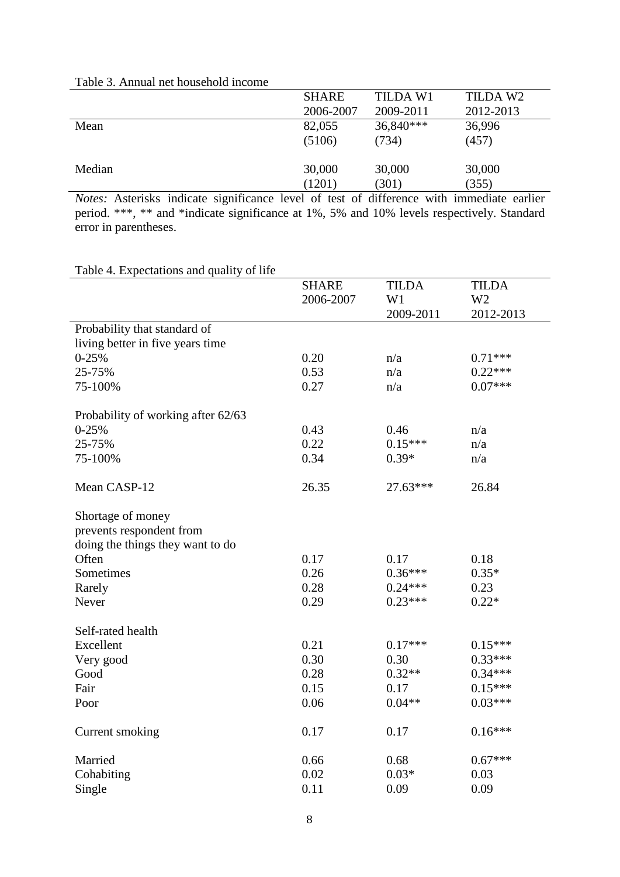|        | <b>SHARE</b> | TILDA W1  | TILDA W2  |
|--------|--------------|-----------|-----------|
|        | 2006-2007    | 2009-2011 | 2012-2013 |
| Mean   | 82,055       | 36,840*** | 36,996    |
|        | (5106)       | (734)     | (457)     |
| Median | 30,000       | 30,000    | 30,000    |
|        | (1201)       | (301)     | (355)     |

#### Table 3. Annual net household income

*Notes:* Asterisks indicate significance level of test of difference with immediate earlier period. \*\*\*, \*\* and \*indicate significance at 1%, 5% and 10% levels respectively. Standard error in parentheses.

| raone +. Expectations and quality of fire |              |              |                |
|-------------------------------------------|--------------|--------------|----------------|
|                                           | <b>SHARE</b> | <b>TILDA</b> | <b>TILDA</b>   |
|                                           | 2006-2007    | W1           | W <sub>2</sub> |
|                                           |              | 2009-2011    | 2012-2013      |
| Probability that standard of              |              |              |                |
| living better in five years time          |              |              |                |
| $0 - 25%$                                 | 0.20         | n/a          | $0.71***$      |
| 25-75%                                    | 0.53         | n/a          | $0.22***$      |
| 75-100%                                   | 0.27         | n/a          | $0.07***$      |
| Probability of working after 62/63        |              |              |                |
| $0 - 25%$                                 | 0.43         | 0.46         | n/a            |
| 25-75%                                    | 0.22         | $0.15***$    | n/a            |
| 75-100%                                   | 0.34         | $0.39*$      | n/a            |
| Mean CASP-12                              | 26.35        | 27.63***     | 26.84          |
| Shortage of money                         |              |              |                |
| prevents respondent from                  |              |              |                |
| doing the things they want to do          |              |              |                |
| Often                                     | 0.17         | 0.17         | 0.18           |
| Sometimes                                 | 0.26         | $0.36***$    | $0.35*$        |
| Rarely                                    | 0.28         | $0.24***$    | 0.23           |
| Never                                     | 0.29         | $0.23***$    | $0.22*$        |
| Self-rated health                         |              |              |                |
| Excellent                                 | 0.21         | $0.17***$    | $0.15***$      |
| Very good                                 | 0.30         | 0.30         | $0.33***$      |
| Good                                      | 0.28         | $0.32**$     | $0.34***$      |
| Fair                                      | 0.15         | 0.17         | $0.15***$      |
| Poor                                      | 0.06         | $0.04**$     | $0.03***$      |
| Current smoking                           | 0.17         | 0.17         | $0.16***$      |
| Married                                   | 0.66         | 0.68         | $0.67***$      |
| Cohabiting                                | 0.02         | $0.03*$      | 0.03           |
| Single                                    | 0.11         | 0.09         | 0.09           |

Table 4. Expectations and quality of life